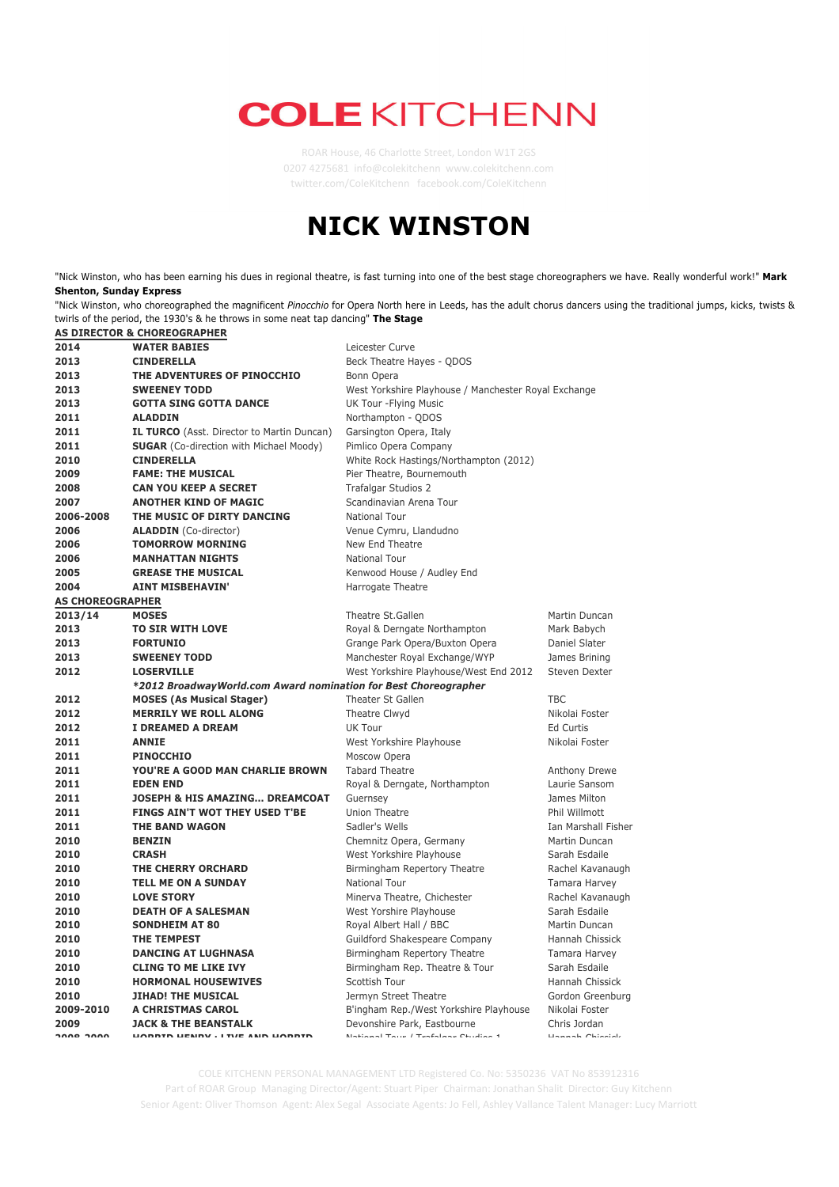## **COLE KITCHENN**

ROAR House, 46 Charlotte Street, London W1T 2GS 4275681 info@colekitchenn www.colekitchenn.com twitter.com/ColeKitchenn facebook.com/ColeKitchenn

## **NICK WINSTON**

"Nick Winston, who has been earning his dues in regional theatre, is fast turning into one of the best stage choreographers we have. Really wonderful work!" **Mark Shenton, Sunday Express**

"Nick Winston, who choreographed the magnificent *Pinocchio* for Opera North here in Leeds, has the adult chorus dancers using the traditional jumps, kicks, twists & twirls of the period, the 1930's & he throws in some neat tap dancing" **The Stage AS DIRECTOR & CHOREOGRAPHER**

|                         | AS DIRECTOR & CHORLOGRAPHER                                     |                                                      |                     |
|-------------------------|-----------------------------------------------------------------|------------------------------------------------------|---------------------|
| 2014                    | <b>WATER BABIES</b>                                             | Leicester Curve                                      |                     |
| 2013                    | <b>CINDERELLA</b>                                               | Beck Theatre Hayes - QDOS                            |                     |
| 2013                    | THE ADVENTURES OF PINOCCHIO                                     | Bonn Opera                                           |                     |
| 2013                    | <b>SWEENEY TODD</b>                                             | West Yorkshire Playhouse / Manchester Royal Exchange |                     |
| 2013                    | <b>GOTTA SING GOTTA DANCE</b>                                   | UK Tour - Flying Music                               |                     |
| 2011                    | <b>ALADDIN</b>                                                  | Northampton - QDOS                                   |                     |
| 2011                    | IL TURCO (Asst. Director to Martin Duncan)                      | Garsington Opera, Italy                              |                     |
| 2011                    | <b>SUGAR</b> (Co-direction with Michael Moody)                  | Pimlico Opera Company                                |                     |
| 2010                    | <b>CINDERELLA</b>                                               | White Rock Hastings/Northampton (2012)               |                     |
| 2009                    | <b>FAME: THE MUSICAL</b>                                        | Pier Theatre, Bournemouth                            |                     |
| 2008                    | <b>CAN YOU KEEP A SECRET</b>                                    | <b>Trafalgar Studios 2</b>                           |                     |
| 2007                    | <b>ANOTHER KIND OF MAGIC</b>                                    | Scandinavian Arena Tour                              |                     |
| 2006-2008               | THE MUSIC OF DIRTY DANCING                                      | <b>National Tour</b>                                 |                     |
| 2006                    | <b>ALADDIN</b> (Co-director)                                    | Venue Cymru, Llandudno                               |                     |
| 2006                    | <b>TOMORROW MORNING</b>                                         | New End Theatre                                      |                     |
| 2006                    | <b>MANHATTAN NIGHTS</b>                                         | <b>National Tour</b>                                 |                     |
| 2005                    | <b>GREASE THE MUSICAL</b>                                       | Kenwood House / Audley End                           |                     |
| 2004                    | <b>AINT MISBEHAVIN'</b>                                         | Harrogate Theatre                                    |                     |
| <b>AS CHOREOGRAPHER</b> |                                                                 |                                                      |                     |
| 2013/14                 | <b>MOSES</b>                                                    | Theatre St.Gallen                                    | Martin Duncan       |
| 2013                    | <b>TO SIR WITH LOVE</b>                                         | Royal & Derngate Northampton                         | Mark Babych         |
| 2013                    | <b>FORTUNIO</b>                                                 | Grange Park Opera/Buxton Opera                       | Daniel Slater       |
| 2013                    | <b>SWEENEY TODD</b>                                             | Manchester Royal Exchange/WYP                        | James Brining       |
| 2012                    | <b>LOSERVILLE</b>                                               | West Yorkshire Playhouse/West End 2012               | Steven Dexter       |
|                         | *2012 BroadwayWorld.com Award nomination for Best Choreographer |                                                      |                     |
| 2012                    | <b>MOSES (As Musical Stager)</b>                                | Theater St Gallen                                    | <b>TBC</b>          |
| 2012                    | <b>MERRILY WE ROLL ALONG</b>                                    | Theatre Clwyd                                        | Nikolai Foster      |
| 2012                    | I DREAMED A DREAM                                               | UK Tour                                              | Ed Curtis           |
| 2011                    | <b>ANNIE</b>                                                    | West Yorkshire Playhouse                             | Nikolai Foster      |
| 2011                    | <b>PINOCCHIO</b>                                                | Moscow Opera                                         |                     |
| 2011                    | YOU'RE A GOOD MAN CHARLIE BROWN                                 | <b>Tabard Theatre</b>                                | Anthony Drewe       |
| 2011                    | <b>EDEN END</b>                                                 | Royal & Derngate, Northampton                        | Laurie Sansom       |
| 2011                    | <b>JOSEPH &amp; HIS AMAZING DREAMCOAT</b>                       | Guernsey                                             | James Milton        |
| 2011                    | FINGS AIN'T WOT THEY USED T'BE                                  | Union Theatre                                        | Phil Willmott       |
| 2011                    | THE BAND WAGON                                                  | Sadler's Wells                                       | Ian Marshall Fisher |
| 2010                    | <b>BENZIN</b>                                                   | Chemnitz Opera, Germany                              | Martin Duncan       |
| 2010                    | <b>CRASH</b>                                                    | West Yorkshire Playhouse                             | Sarah Esdaile       |
| 2010                    | THE CHERRY ORCHARD                                              | Birmingham Repertory Theatre                         | Rachel Kavanaugh    |
| 2010                    | <b>TELL ME ON A SUNDAY</b>                                      | National Tour                                        | Tamara Harvey       |
| 2010                    | <b>LOVE STORY</b>                                               | Minerva Theatre, Chichester                          | Rachel Kavanaugh    |
| 2010                    | <b>DEATH OF A SALESMAN</b>                                      | West Yorshire Playhouse                              | Sarah Esdaile       |
| 2010                    | <b>SONDHEIM AT 80</b>                                           | Royal Albert Hall / BBC                              | Martin Duncan       |
| 2010                    | THE TEMPEST                                                     | Guildford Shakespeare Company                        | Hannah Chissick     |
| 2010                    | <b>DANCING AT LUGHNASA</b>                                      | Birmingham Repertory Theatre                         | Tamara Harvey       |
| 2010                    | <b>CLING TO ME LIKE IVY</b>                                     | Birmingham Rep. Theatre & Tour                       | Sarah Esdaile       |
| 2010                    | <b>HORMONAL HOUSEWIVES</b>                                      | Scottish Tour                                        | Hannah Chissick     |
| 2010                    | <b>JIHAD! THE MUSICAL</b>                                       | Jermyn Street Theatre                                | Gordon Greenburg    |
| 2009-2010               | A CHRISTMAS CAROL                                               | B'ingham Rep./West Yorkshire Playhouse               | Nikolai Foster      |
| 2009                    | <b>JACK &amp; THE BEANSTALK</b>                                 | Devonshire Park, Eastbourne                          | Chris Jordan        |
| $2000.200$              | <b>UODDID UEMBY . I THE AMD UODDID</b>                          | Notional Tour / Trafolant Chidion 1                  | Hannah Chinaial     |
|                         |                                                                 |                                                      |                     |

COLE KITCHENN PERSONAL MANAGEMENT LTD Registered Co. No: 5350236 VAT No 853912316 Part of ROAR Group Managing Director/Agent: Stuart Piper Chairman: Jonathan Shalit Director: Guy Kitchenn Senior Agent: Oliver Thomson Agent: Alex Segal Associate Agents: Jo Fell, Ashley Vallance Talent Manager: Lucy Marriott